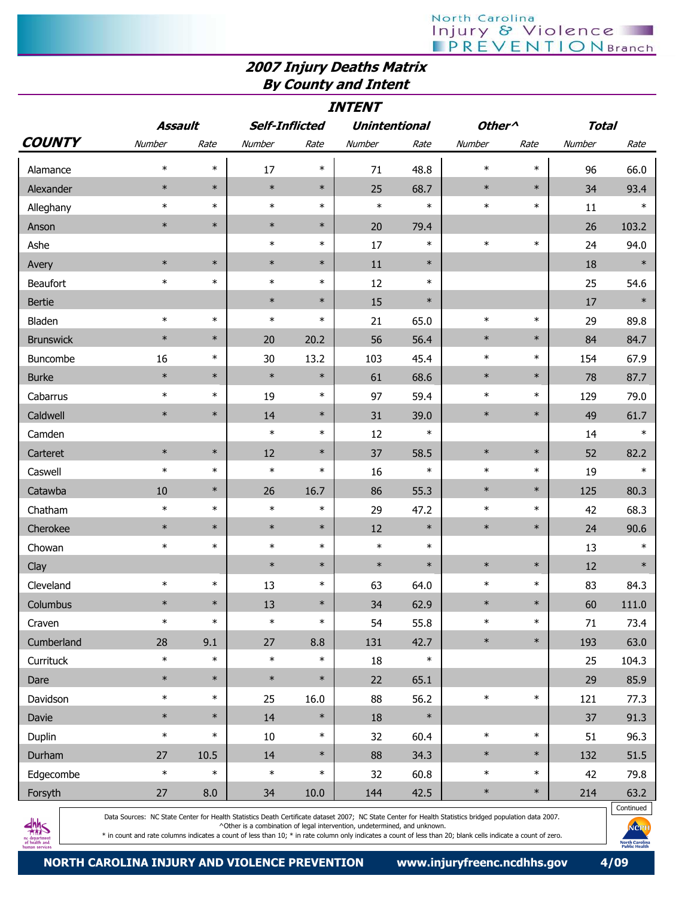## North Carolina<br>| Injury & Violence<br>| PREVENTIONBranch

## 2007 Injury Deaths Matrix By County and Intent

| <b>INTENT</b>    |         |        |                       |        |                      |        |                    |        |              |        |
|------------------|---------|--------|-----------------------|--------|----------------------|--------|--------------------|--------|--------------|--------|
|                  | Assault |        | <b>Self-Inflicted</b> |        | <b>Unintentional</b> |        | Other <sup>^</sup> |        | <b>Total</b> |        |
| <b>COUNTY</b>    | Number  | Rate   | Number                | Rate   | Number               | Rate   | Number             | Rate   | Number       | Rate   |
| Alamance         | $\ast$  | $\ast$ | 17                    | $\ast$ | 71                   | 48.8   | $\ast$             | $\ast$ | 96           | 66.0   |
| Alexander        | $\ast$  | $\ast$ | $\ast$                | $\ast$ | 25                   | 68.7   | $\ast$             | $\ast$ | 34           | 93.4   |
| Alleghany        | $\ast$  | $\ast$ | $\ast$                | $\ast$ | $\ast$               | $\ast$ | $\ast$             | $\ast$ | 11           | $\ast$ |
| Anson            | $\ast$  | $\ast$ | $\ast$                | $\ast$ | 20                   | 79.4   |                    |        | 26           | 103.2  |
| Ashe             |         |        | $\ast$                | $\ast$ | 17                   | $\ast$ | $\ast$             | $\ast$ | 24           | 94.0   |
| Avery            | $\ast$  | $\ast$ | $\ast$                | $\ast$ | 11                   | $\ast$ |                    |        | 18           | $\ast$ |
| Beaufort         | $\ast$  | $\ast$ | $\ast$                | $\ast$ | 12                   | $\ast$ |                    |        | 25           | 54.6   |
| <b>Bertie</b>    |         |        | $\ast$                | $\ast$ | 15                   | $\ast$ |                    |        | 17           | $\ast$ |
| Bladen           | $\ast$  | $\ast$ | $\ast$                | $\ast$ | 21                   | 65.0   | $\ast$             | $\ast$ | 29           | 89.8   |
| <b>Brunswick</b> | $\ast$  | $\ast$ | 20                    | 20.2   | 56                   | 56.4   | $\ast$             | $\ast$ | 84           | 84.7   |
| Buncombe         | 16      | $\ast$ | 30                    | 13.2   | 103                  | 45.4   | $\ast$             | $\ast$ | 154          | 67.9   |
| <b>Burke</b>     | $\ast$  | $\ast$ | $\ast$                | $\ast$ | 61                   | 68.6   | $\ast$             | $\ast$ | 78           | 87.7   |
| Cabarrus         | $\ast$  | $\ast$ | 19                    | $\ast$ | 97                   | 59.4   | $\ast$             | $\ast$ | 129          | 79.0   |
| Caldwell         | $\ast$  | $\ast$ | 14                    | $\ast$ | 31                   | 39.0   | $\ast$             | $\ast$ | 49           | 61.7   |
| Camden           |         |        | $\ast$                | $\ast$ | 12                   | $\ast$ |                    |        | 14           | $\ast$ |
| Carteret         | $\ast$  | $\ast$ | 12                    | $\ast$ | 37                   | 58.5   | $\ast$             | $\ast$ | 52           | 82.2   |
| Caswell          | $\ast$  | $\ast$ | $\ast$                | $\ast$ | 16                   | $\ast$ | $\ast$             | $\ast$ | 19           | $\ast$ |
| Catawba          | 10      | $\ast$ | 26                    | 16.7   | 86                   | 55.3   | $\ast$             | $\ast$ | 125          | 80.3   |
| Chatham          | $\ast$  | $\ast$ | $\ast$                | $\ast$ | 29                   | 47.2   | $\ast$             | $\ast$ | 42           | 68.3   |
| Cherokee         | $\ast$  | $\ast$ | $\ast$                | $\ast$ | 12                   | $\ast$ | $\ast$             | $\ast$ | 24           | 90.6   |
| Chowan           | $\ast$  | $\ast$ | $\ast$                | $\ast$ | $\ast$               | $\ast$ |                    |        | 13           | $\ast$ |
| Clay             |         |        | $\ast$                | $\ast$ | $\ast$               | $\ast$ | $\ast$             | $\ast$ | 12           | $\ast$ |
| Cleveland        | $\ast$  | $\ast$ | 13                    | $\ast$ | 63                   | 64.0   | $\ast$             | $\ast$ | 83           | 84.3   |
| Columbus         | $\ast$  | $\ast$ | 13                    | $\ast$ | 34                   | 62.9   | $\ast$             | $\ast$ | 60           | 111.0  |
| Craven           | $\ast$  | $\ast$ | $\ast$                | $\ast$ | 54                   | 55.8   | $\ast$             | $\ast$ | 71           | 73.4   |
| Cumberland       | 28      | 9.1    | 27                    | 8.8    | 131                  | 42.7   | $\ast$             | $\ast$ | 193          | 63.0   |
| Currituck        | $\ast$  | $\ast$ | $\ast$                | $\ast$ | $18\,$               | $\ast$ |                    |        | 25           | 104.3  |
| Dare             | $\ast$  | $\ast$ | $\ast$                | $\ast$ | 22                   | 65.1   |                    |        | 29           | 85.9   |
| Davidson         | $\ast$  | $\ast$ | 25                    | 16.0   | 88                   | 56.2   | $\ast$             | $\ast$ | 121          | 77.3   |
| Davie            | $\ast$  | $\ast$ | 14                    | $\ast$ | $18\,$               | $\ast$ |                    |        | 37           | 91.3   |
| Duplin           | $\ast$  | $\ast$ | 10                    | $\ast$ | 32                   | 60.4   | $\ast$             | $\ast$ | 51           | 96.3   |
| Durham           | 27      | 10.5   | 14                    | $\ast$ | 88                   | 34.3   | $\ast$             | $\ast$ | 132          | 51.5   |
| Edgecombe        | $\ast$  | $\ast$ | $\ast$                | $\ast$ | 32                   | 60.8   | $\ast$             | $\ast$ | 42           | 79.8   |
| Forsyth          | 27      | 8.0    | 34                    | 10.0   | 144                  | 42.5   | $\ast$             | $\ast$ | 214          | 63.2   |



Data Sources: NC State Center for Health Statistics Death Certificate dataset 2007; NC State Center for Health Statistics bridged population data 2007. ^Other is a combination of legal intervention, undetermined, and unknown.

 $\ast$  in count and rate columns indicates a count of less than 10;  $\ast$  in rate column only indicates a count of less than 20; blank cells indicate a count of zero.

Continued

Me **North Carolin**<br>Public Health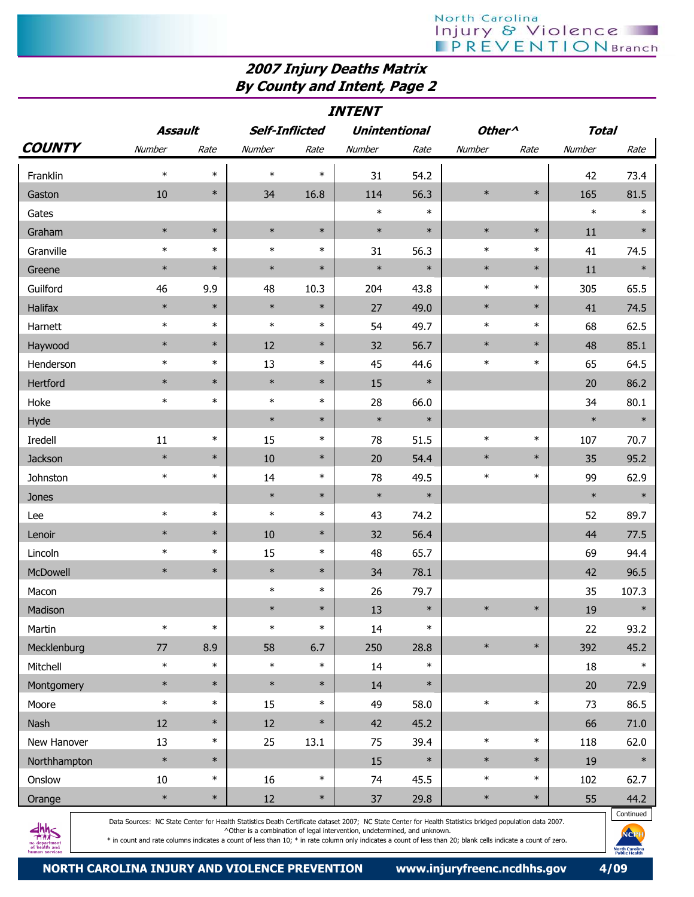## 2007 Injury Deaths Matrix By County and Intent, Page 2

| Assault<br><b>Self-Inflicted</b><br><b>Unintentional</b><br><b>Total</b><br>Other <sup>^</sup><br>Number<br>Number<br>Number<br>Rate<br>Rate<br>Rate<br>Number<br>Rate<br>Number<br>Rate<br>$\ast$<br>$\ast$<br>$\ast$<br>$\ast$<br>31<br>54.2<br>42<br>Franklin<br>73.4<br>$\ast$<br>$\ast$<br>$\ast$<br>10<br>16.8<br>114<br>56.3<br>165<br>81.5<br>Gaston<br>34<br>$\ast$<br>$\ast$<br>$\ast$<br>$\ast$<br>Gates<br>$\ast$<br>$\ast$<br>$\ast$<br>$\ast$<br>$\ast$<br>$\ast$<br>$\ast$<br>$\ast$<br>$\ast$<br>Graham<br>11<br>$\ast$<br>$\ast$<br>$\ast$<br>$\ast$<br>$\ast$<br>Granville<br>31<br>56.3<br>$\ast$<br>74.5<br>41<br>$\ast$<br>$\ast$<br>$\ast$<br>$\ast$<br>$\ast$<br>$\ast$<br>$\ast$<br>$\ast$<br>$\ast$<br>11<br>Greene<br>Guilford<br>10.3<br>204<br>43.8<br>$\ast$<br>$\ast$<br>305<br>65.5<br>46<br>9.9<br>48<br>$\ast$<br>$\ast$<br>$\ast$<br>$\ast$<br>Halifax<br>$\ast$<br>49.0<br>$\ast$<br>74.5<br>27<br>41<br>$\ast$<br>$\ast$<br>$\ast$<br>$\ast$<br>49.7<br>$\ast$<br>$\ast$<br>62.5<br>Harnett<br>54<br>68<br>$\ast$<br>$\ast$<br>12<br>$\ast$<br>$\ast$<br>85.1<br>Haywood<br>$\ast$<br>32<br>56.7<br>48<br>$\ast$<br>$\ast$<br>$\ast$<br>$\ast$<br>$\ast$<br>Henderson<br>13<br>45<br>44.6<br>65<br>64.5<br>$\ast$<br>$\ast$<br>$\ast$<br>$\ast$<br>$\ast$<br>Hertford<br>86.2<br>15<br>20<br>$\ast$<br>$\ast$<br>$\ast$<br>$\ast$<br>Hoke<br>28<br>66.0<br>80.1<br>34<br>$\ast$<br>$\ast$<br>$\ast$<br>$\ast$<br>$\ast$<br>Hyde<br>$\ast$<br>$\ast$<br>Iredell<br>11<br>$\ast$<br>15<br>$\ast$<br>78<br>51.5<br>$\ast$<br>107<br>70.7<br>$\ast$<br>$\ast$<br>$\ast$<br>Jackson<br>$\ast$<br>10<br>20<br>54.4<br>$\ast$<br>35<br>95.2<br>$\ast$<br>$\ast$<br>$\ast$<br>49.5<br>$\ast$<br>$\ast$<br>99<br>Johnston<br>14<br>78<br>62.9<br>$\ast$<br>$\ast$<br>$\ast$<br>$\ast$<br>$\ast$<br>$\ast$<br>Jones<br>$\ast$<br>$\ast$<br>$\ast$<br>$\ast$<br>74.2<br>52<br>43<br>89.7<br>Lee<br>$\ast$<br>$\ast$<br>10<br>$\ast$<br>Lenoir<br>32<br>56.4<br>44<br>77.5<br>$\ast$<br>$\ast$<br>$\ast$<br>15<br>48<br>65.7<br>Lincoln<br>69<br>94.4<br>$\ast$<br>$\ast$<br>$\ast$<br>$\ast$<br>96.5<br>McDowell<br>34<br>78.1<br>42<br>$\ast$<br>$\ast$<br>107.3<br>Macon<br>26<br>79.7<br>35<br>$\ast$<br>$\ast$<br>13<br>$\ast$<br>$\ast$<br>Madison<br>$\ast$<br>$19\,$<br>$\ast$<br>$\ast$<br>$\ast$<br>$\ast$<br>$\ast$<br>$\ast$<br>93.2<br>Martin<br>14<br>22<br>$\ast$<br>Mecklenburg<br>$\ast$<br>45.2<br>$77$<br>8.9<br>58<br>6.7<br>250<br>28.8<br>392<br>$\ast$<br>$\ast$<br>$\ast$<br>$\ast$<br>$\ast$<br>Mitchell<br>14<br>$\ast$<br>18<br>$\ast$<br>$\ast$<br>$\ast$<br>14<br>$\ast$<br>$\ast$<br>20<br>Montgomery<br>72.9<br>$\ast$<br>$\ast$<br>$\ast$<br>$\ast$<br>$\ast$<br>86.5<br>Moore<br>15<br>49<br>58.0<br>73<br>$\ast$<br>Nash<br>$\ast$<br>42<br>45.2<br>12<br>$12\,$<br>$71.0\,$<br>66<br>$\ast$<br>New Hanover<br>13<br>39.4<br>$\ast$<br>62.0<br>$\ast$<br>25<br>13.1<br>75<br>118<br>$\ast$<br>$\ast$<br>$\ast$<br>$\ast$<br>$\ast$<br>19<br>$\ast$<br>Northhampton<br>15<br>16<br>$\ast$<br>Onslow<br>$10\,$<br>$\ast$<br>$\ast$<br>74<br>45.5<br>$\ast$<br>102<br>62.7<br>$\ast$<br>$\ast$<br>$\ast$<br>29.8<br>$\ast$<br>$\ast$<br>44.2<br>Orange<br>$12\,$<br>37<br>55 | <b>INTENT</b> |  |  |  |  |  |  |  |  |  |  |
|-------------------------------------------------------------------------------------------------------------------------------------------------------------------------------------------------------------------------------------------------------------------------------------------------------------------------------------------------------------------------------------------------------------------------------------------------------------------------------------------------------------------------------------------------------------------------------------------------------------------------------------------------------------------------------------------------------------------------------------------------------------------------------------------------------------------------------------------------------------------------------------------------------------------------------------------------------------------------------------------------------------------------------------------------------------------------------------------------------------------------------------------------------------------------------------------------------------------------------------------------------------------------------------------------------------------------------------------------------------------------------------------------------------------------------------------------------------------------------------------------------------------------------------------------------------------------------------------------------------------------------------------------------------------------------------------------------------------------------------------------------------------------------------------------------------------------------------------------------------------------------------------------------------------------------------------------------------------------------------------------------------------------------------------------------------------------------------------------------------------------------------------------------------------------------------------------------------------------------------------------------------------------------------------------------------------------------------------------------------------------------------------------------------------------------------------------------------------------------------------------------------------------------------------------------------------------------------------------------------------------------------------------------------------------------------------------------------------------------------------------------------------------------------------------------------------------------------------------------------------------------------------------------------------------------------------------------------------------------------------------------------------------------------------------------------------------------------------------------------------------------------------------------------------------------------------------------------------------------------|---------------|--|--|--|--|--|--|--|--|--|--|
|                                                                                                                                                                                                                                                                                                                                                                                                                                                                                                                                                                                                                                                                                                                                                                                                                                                                                                                                                                                                                                                                                                                                                                                                                                                                                                                                                                                                                                                                                                                                                                                                                                                                                                                                                                                                                                                                                                                                                                                                                                                                                                                                                                                                                                                                                                                                                                                                                                                                                                                                                                                                                                                                                                                                                                                                                                                                                                                                                                                                                                                                                                                                                                                                                                     |               |  |  |  |  |  |  |  |  |  |  |
|                                                                                                                                                                                                                                                                                                                                                                                                                                                                                                                                                                                                                                                                                                                                                                                                                                                                                                                                                                                                                                                                                                                                                                                                                                                                                                                                                                                                                                                                                                                                                                                                                                                                                                                                                                                                                                                                                                                                                                                                                                                                                                                                                                                                                                                                                                                                                                                                                                                                                                                                                                                                                                                                                                                                                                                                                                                                                                                                                                                                                                                                                                                                                                                                                                     | <b>COUNTY</b> |  |  |  |  |  |  |  |  |  |  |
|                                                                                                                                                                                                                                                                                                                                                                                                                                                                                                                                                                                                                                                                                                                                                                                                                                                                                                                                                                                                                                                                                                                                                                                                                                                                                                                                                                                                                                                                                                                                                                                                                                                                                                                                                                                                                                                                                                                                                                                                                                                                                                                                                                                                                                                                                                                                                                                                                                                                                                                                                                                                                                                                                                                                                                                                                                                                                                                                                                                                                                                                                                                                                                                                                                     |               |  |  |  |  |  |  |  |  |  |  |
|                                                                                                                                                                                                                                                                                                                                                                                                                                                                                                                                                                                                                                                                                                                                                                                                                                                                                                                                                                                                                                                                                                                                                                                                                                                                                                                                                                                                                                                                                                                                                                                                                                                                                                                                                                                                                                                                                                                                                                                                                                                                                                                                                                                                                                                                                                                                                                                                                                                                                                                                                                                                                                                                                                                                                                                                                                                                                                                                                                                                                                                                                                                                                                                                                                     |               |  |  |  |  |  |  |  |  |  |  |
|                                                                                                                                                                                                                                                                                                                                                                                                                                                                                                                                                                                                                                                                                                                                                                                                                                                                                                                                                                                                                                                                                                                                                                                                                                                                                                                                                                                                                                                                                                                                                                                                                                                                                                                                                                                                                                                                                                                                                                                                                                                                                                                                                                                                                                                                                                                                                                                                                                                                                                                                                                                                                                                                                                                                                                                                                                                                                                                                                                                                                                                                                                                                                                                                                                     |               |  |  |  |  |  |  |  |  |  |  |
|                                                                                                                                                                                                                                                                                                                                                                                                                                                                                                                                                                                                                                                                                                                                                                                                                                                                                                                                                                                                                                                                                                                                                                                                                                                                                                                                                                                                                                                                                                                                                                                                                                                                                                                                                                                                                                                                                                                                                                                                                                                                                                                                                                                                                                                                                                                                                                                                                                                                                                                                                                                                                                                                                                                                                                                                                                                                                                                                                                                                                                                                                                                                                                                                                                     |               |  |  |  |  |  |  |  |  |  |  |
|                                                                                                                                                                                                                                                                                                                                                                                                                                                                                                                                                                                                                                                                                                                                                                                                                                                                                                                                                                                                                                                                                                                                                                                                                                                                                                                                                                                                                                                                                                                                                                                                                                                                                                                                                                                                                                                                                                                                                                                                                                                                                                                                                                                                                                                                                                                                                                                                                                                                                                                                                                                                                                                                                                                                                                                                                                                                                                                                                                                                                                                                                                                                                                                                                                     |               |  |  |  |  |  |  |  |  |  |  |
|                                                                                                                                                                                                                                                                                                                                                                                                                                                                                                                                                                                                                                                                                                                                                                                                                                                                                                                                                                                                                                                                                                                                                                                                                                                                                                                                                                                                                                                                                                                                                                                                                                                                                                                                                                                                                                                                                                                                                                                                                                                                                                                                                                                                                                                                                                                                                                                                                                                                                                                                                                                                                                                                                                                                                                                                                                                                                                                                                                                                                                                                                                                                                                                                                                     |               |  |  |  |  |  |  |  |  |  |  |
|                                                                                                                                                                                                                                                                                                                                                                                                                                                                                                                                                                                                                                                                                                                                                                                                                                                                                                                                                                                                                                                                                                                                                                                                                                                                                                                                                                                                                                                                                                                                                                                                                                                                                                                                                                                                                                                                                                                                                                                                                                                                                                                                                                                                                                                                                                                                                                                                                                                                                                                                                                                                                                                                                                                                                                                                                                                                                                                                                                                                                                                                                                                                                                                                                                     |               |  |  |  |  |  |  |  |  |  |  |
|                                                                                                                                                                                                                                                                                                                                                                                                                                                                                                                                                                                                                                                                                                                                                                                                                                                                                                                                                                                                                                                                                                                                                                                                                                                                                                                                                                                                                                                                                                                                                                                                                                                                                                                                                                                                                                                                                                                                                                                                                                                                                                                                                                                                                                                                                                                                                                                                                                                                                                                                                                                                                                                                                                                                                                                                                                                                                                                                                                                                                                                                                                                                                                                                                                     |               |  |  |  |  |  |  |  |  |  |  |
|                                                                                                                                                                                                                                                                                                                                                                                                                                                                                                                                                                                                                                                                                                                                                                                                                                                                                                                                                                                                                                                                                                                                                                                                                                                                                                                                                                                                                                                                                                                                                                                                                                                                                                                                                                                                                                                                                                                                                                                                                                                                                                                                                                                                                                                                                                                                                                                                                                                                                                                                                                                                                                                                                                                                                                                                                                                                                                                                                                                                                                                                                                                                                                                                                                     |               |  |  |  |  |  |  |  |  |  |  |
|                                                                                                                                                                                                                                                                                                                                                                                                                                                                                                                                                                                                                                                                                                                                                                                                                                                                                                                                                                                                                                                                                                                                                                                                                                                                                                                                                                                                                                                                                                                                                                                                                                                                                                                                                                                                                                                                                                                                                                                                                                                                                                                                                                                                                                                                                                                                                                                                                                                                                                                                                                                                                                                                                                                                                                                                                                                                                                                                                                                                                                                                                                                                                                                                                                     |               |  |  |  |  |  |  |  |  |  |  |
|                                                                                                                                                                                                                                                                                                                                                                                                                                                                                                                                                                                                                                                                                                                                                                                                                                                                                                                                                                                                                                                                                                                                                                                                                                                                                                                                                                                                                                                                                                                                                                                                                                                                                                                                                                                                                                                                                                                                                                                                                                                                                                                                                                                                                                                                                                                                                                                                                                                                                                                                                                                                                                                                                                                                                                                                                                                                                                                                                                                                                                                                                                                                                                                                                                     |               |  |  |  |  |  |  |  |  |  |  |
|                                                                                                                                                                                                                                                                                                                                                                                                                                                                                                                                                                                                                                                                                                                                                                                                                                                                                                                                                                                                                                                                                                                                                                                                                                                                                                                                                                                                                                                                                                                                                                                                                                                                                                                                                                                                                                                                                                                                                                                                                                                                                                                                                                                                                                                                                                                                                                                                                                                                                                                                                                                                                                                                                                                                                                                                                                                                                                                                                                                                                                                                                                                                                                                                                                     |               |  |  |  |  |  |  |  |  |  |  |
|                                                                                                                                                                                                                                                                                                                                                                                                                                                                                                                                                                                                                                                                                                                                                                                                                                                                                                                                                                                                                                                                                                                                                                                                                                                                                                                                                                                                                                                                                                                                                                                                                                                                                                                                                                                                                                                                                                                                                                                                                                                                                                                                                                                                                                                                                                                                                                                                                                                                                                                                                                                                                                                                                                                                                                                                                                                                                                                                                                                                                                                                                                                                                                                                                                     |               |  |  |  |  |  |  |  |  |  |  |
|                                                                                                                                                                                                                                                                                                                                                                                                                                                                                                                                                                                                                                                                                                                                                                                                                                                                                                                                                                                                                                                                                                                                                                                                                                                                                                                                                                                                                                                                                                                                                                                                                                                                                                                                                                                                                                                                                                                                                                                                                                                                                                                                                                                                                                                                                                                                                                                                                                                                                                                                                                                                                                                                                                                                                                                                                                                                                                                                                                                                                                                                                                                                                                                                                                     |               |  |  |  |  |  |  |  |  |  |  |
|                                                                                                                                                                                                                                                                                                                                                                                                                                                                                                                                                                                                                                                                                                                                                                                                                                                                                                                                                                                                                                                                                                                                                                                                                                                                                                                                                                                                                                                                                                                                                                                                                                                                                                                                                                                                                                                                                                                                                                                                                                                                                                                                                                                                                                                                                                                                                                                                                                                                                                                                                                                                                                                                                                                                                                                                                                                                                                                                                                                                                                                                                                                                                                                                                                     |               |  |  |  |  |  |  |  |  |  |  |
|                                                                                                                                                                                                                                                                                                                                                                                                                                                                                                                                                                                                                                                                                                                                                                                                                                                                                                                                                                                                                                                                                                                                                                                                                                                                                                                                                                                                                                                                                                                                                                                                                                                                                                                                                                                                                                                                                                                                                                                                                                                                                                                                                                                                                                                                                                                                                                                                                                                                                                                                                                                                                                                                                                                                                                                                                                                                                                                                                                                                                                                                                                                                                                                                                                     |               |  |  |  |  |  |  |  |  |  |  |
|                                                                                                                                                                                                                                                                                                                                                                                                                                                                                                                                                                                                                                                                                                                                                                                                                                                                                                                                                                                                                                                                                                                                                                                                                                                                                                                                                                                                                                                                                                                                                                                                                                                                                                                                                                                                                                                                                                                                                                                                                                                                                                                                                                                                                                                                                                                                                                                                                                                                                                                                                                                                                                                                                                                                                                                                                                                                                                                                                                                                                                                                                                                                                                                                                                     |               |  |  |  |  |  |  |  |  |  |  |
|                                                                                                                                                                                                                                                                                                                                                                                                                                                                                                                                                                                                                                                                                                                                                                                                                                                                                                                                                                                                                                                                                                                                                                                                                                                                                                                                                                                                                                                                                                                                                                                                                                                                                                                                                                                                                                                                                                                                                                                                                                                                                                                                                                                                                                                                                                                                                                                                                                                                                                                                                                                                                                                                                                                                                                                                                                                                                                                                                                                                                                                                                                                                                                                                                                     |               |  |  |  |  |  |  |  |  |  |  |
|                                                                                                                                                                                                                                                                                                                                                                                                                                                                                                                                                                                                                                                                                                                                                                                                                                                                                                                                                                                                                                                                                                                                                                                                                                                                                                                                                                                                                                                                                                                                                                                                                                                                                                                                                                                                                                                                                                                                                                                                                                                                                                                                                                                                                                                                                                                                                                                                                                                                                                                                                                                                                                                                                                                                                                                                                                                                                                                                                                                                                                                                                                                                                                                                                                     |               |  |  |  |  |  |  |  |  |  |  |
|                                                                                                                                                                                                                                                                                                                                                                                                                                                                                                                                                                                                                                                                                                                                                                                                                                                                                                                                                                                                                                                                                                                                                                                                                                                                                                                                                                                                                                                                                                                                                                                                                                                                                                                                                                                                                                                                                                                                                                                                                                                                                                                                                                                                                                                                                                                                                                                                                                                                                                                                                                                                                                                                                                                                                                                                                                                                                                                                                                                                                                                                                                                                                                                                                                     |               |  |  |  |  |  |  |  |  |  |  |
|                                                                                                                                                                                                                                                                                                                                                                                                                                                                                                                                                                                                                                                                                                                                                                                                                                                                                                                                                                                                                                                                                                                                                                                                                                                                                                                                                                                                                                                                                                                                                                                                                                                                                                                                                                                                                                                                                                                                                                                                                                                                                                                                                                                                                                                                                                                                                                                                                                                                                                                                                                                                                                                                                                                                                                                                                                                                                                                                                                                                                                                                                                                                                                                                                                     |               |  |  |  |  |  |  |  |  |  |  |
|                                                                                                                                                                                                                                                                                                                                                                                                                                                                                                                                                                                                                                                                                                                                                                                                                                                                                                                                                                                                                                                                                                                                                                                                                                                                                                                                                                                                                                                                                                                                                                                                                                                                                                                                                                                                                                                                                                                                                                                                                                                                                                                                                                                                                                                                                                                                                                                                                                                                                                                                                                                                                                                                                                                                                                                                                                                                                                                                                                                                                                                                                                                                                                                                                                     |               |  |  |  |  |  |  |  |  |  |  |
|                                                                                                                                                                                                                                                                                                                                                                                                                                                                                                                                                                                                                                                                                                                                                                                                                                                                                                                                                                                                                                                                                                                                                                                                                                                                                                                                                                                                                                                                                                                                                                                                                                                                                                                                                                                                                                                                                                                                                                                                                                                                                                                                                                                                                                                                                                                                                                                                                                                                                                                                                                                                                                                                                                                                                                                                                                                                                                                                                                                                                                                                                                                                                                                                                                     |               |  |  |  |  |  |  |  |  |  |  |
|                                                                                                                                                                                                                                                                                                                                                                                                                                                                                                                                                                                                                                                                                                                                                                                                                                                                                                                                                                                                                                                                                                                                                                                                                                                                                                                                                                                                                                                                                                                                                                                                                                                                                                                                                                                                                                                                                                                                                                                                                                                                                                                                                                                                                                                                                                                                                                                                                                                                                                                                                                                                                                                                                                                                                                                                                                                                                                                                                                                                                                                                                                                                                                                                                                     |               |  |  |  |  |  |  |  |  |  |  |
|                                                                                                                                                                                                                                                                                                                                                                                                                                                                                                                                                                                                                                                                                                                                                                                                                                                                                                                                                                                                                                                                                                                                                                                                                                                                                                                                                                                                                                                                                                                                                                                                                                                                                                                                                                                                                                                                                                                                                                                                                                                                                                                                                                                                                                                                                                                                                                                                                                                                                                                                                                                                                                                                                                                                                                                                                                                                                                                                                                                                                                                                                                                                                                                                                                     |               |  |  |  |  |  |  |  |  |  |  |
|                                                                                                                                                                                                                                                                                                                                                                                                                                                                                                                                                                                                                                                                                                                                                                                                                                                                                                                                                                                                                                                                                                                                                                                                                                                                                                                                                                                                                                                                                                                                                                                                                                                                                                                                                                                                                                                                                                                                                                                                                                                                                                                                                                                                                                                                                                                                                                                                                                                                                                                                                                                                                                                                                                                                                                                                                                                                                                                                                                                                                                                                                                                                                                                                                                     |               |  |  |  |  |  |  |  |  |  |  |
|                                                                                                                                                                                                                                                                                                                                                                                                                                                                                                                                                                                                                                                                                                                                                                                                                                                                                                                                                                                                                                                                                                                                                                                                                                                                                                                                                                                                                                                                                                                                                                                                                                                                                                                                                                                                                                                                                                                                                                                                                                                                                                                                                                                                                                                                                                                                                                                                                                                                                                                                                                                                                                                                                                                                                                                                                                                                                                                                                                                                                                                                                                                                                                                                                                     |               |  |  |  |  |  |  |  |  |  |  |
|                                                                                                                                                                                                                                                                                                                                                                                                                                                                                                                                                                                                                                                                                                                                                                                                                                                                                                                                                                                                                                                                                                                                                                                                                                                                                                                                                                                                                                                                                                                                                                                                                                                                                                                                                                                                                                                                                                                                                                                                                                                                                                                                                                                                                                                                                                                                                                                                                                                                                                                                                                                                                                                                                                                                                                                                                                                                                                                                                                                                                                                                                                                                                                                                                                     |               |  |  |  |  |  |  |  |  |  |  |
|                                                                                                                                                                                                                                                                                                                                                                                                                                                                                                                                                                                                                                                                                                                                                                                                                                                                                                                                                                                                                                                                                                                                                                                                                                                                                                                                                                                                                                                                                                                                                                                                                                                                                                                                                                                                                                                                                                                                                                                                                                                                                                                                                                                                                                                                                                                                                                                                                                                                                                                                                                                                                                                                                                                                                                                                                                                                                                                                                                                                                                                                                                                                                                                                                                     |               |  |  |  |  |  |  |  |  |  |  |
|                                                                                                                                                                                                                                                                                                                                                                                                                                                                                                                                                                                                                                                                                                                                                                                                                                                                                                                                                                                                                                                                                                                                                                                                                                                                                                                                                                                                                                                                                                                                                                                                                                                                                                                                                                                                                                                                                                                                                                                                                                                                                                                                                                                                                                                                                                                                                                                                                                                                                                                                                                                                                                                                                                                                                                                                                                                                                                                                                                                                                                                                                                                                                                                                                                     |               |  |  |  |  |  |  |  |  |  |  |
|                                                                                                                                                                                                                                                                                                                                                                                                                                                                                                                                                                                                                                                                                                                                                                                                                                                                                                                                                                                                                                                                                                                                                                                                                                                                                                                                                                                                                                                                                                                                                                                                                                                                                                                                                                                                                                                                                                                                                                                                                                                                                                                                                                                                                                                                                                                                                                                                                                                                                                                                                                                                                                                                                                                                                                                                                                                                                                                                                                                                                                                                                                                                                                                                                                     |               |  |  |  |  |  |  |  |  |  |  |
|                                                                                                                                                                                                                                                                                                                                                                                                                                                                                                                                                                                                                                                                                                                                                                                                                                                                                                                                                                                                                                                                                                                                                                                                                                                                                                                                                                                                                                                                                                                                                                                                                                                                                                                                                                                                                                                                                                                                                                                                                                                                                                                                                                                                                                                                                                                                                                                                                                                                                                                                                                                                                                                                                                                                                                                                                                                                                                                                                                                                                                                                                                                                                                                                                                     |               |  |  |  |  |  |  |  |  |  |  |
|                                                                                                                                                                                                                                                                                                                                                                                                                                                                                                                                                                                                                                                                                                                                                                                                                                                                                                                                                                                                                                                                                                                                                                                                                                                                                                                                                                                                                                                                                                                                                                                                                                                                                                                                                                                                                                                                                                                                                                                                                                                                                                                                                                                                                                                                                                                                                                                                                                                                                                                                                                                                                                                                                                                                                                                                                                                                                                                                                                                                                                                                                                                                                                                                                                     |               |  |  |  |  |  |  |  |  |  |  |
| Continued                                                                                                                                                                                                                                                                                                                                                                                                                                                                                                                                                                                                                                                                                                                                                                                                                                                                                                                                                                                                                                                                                                                                                                                                                                                                                                                                                                                                                                                                                                                                                                                                                                                                                                                                                                                                                                                                                                                                                                                                                                                                                                                                                                                                                                                                                                                                                                                                                                                                                                                                                                                                                                                                                                                                                                                                                                                                                                                                                                                                                                                                                                                                                                                                                           |               |  |  |  |  |  |  |  |  |  |  |



Data Sources: NC State Center for Health Statistics Death Certificate dataset 2007; NC State Center for Health Statistics bridged population data 2007. ^Other is a combination of legal intervention, undetermined, and unknown.

\* in count and rate columns indicates a count of less than 10; \* in rate column only indicates a count of less than 20; blank cells indicate a count of zero.